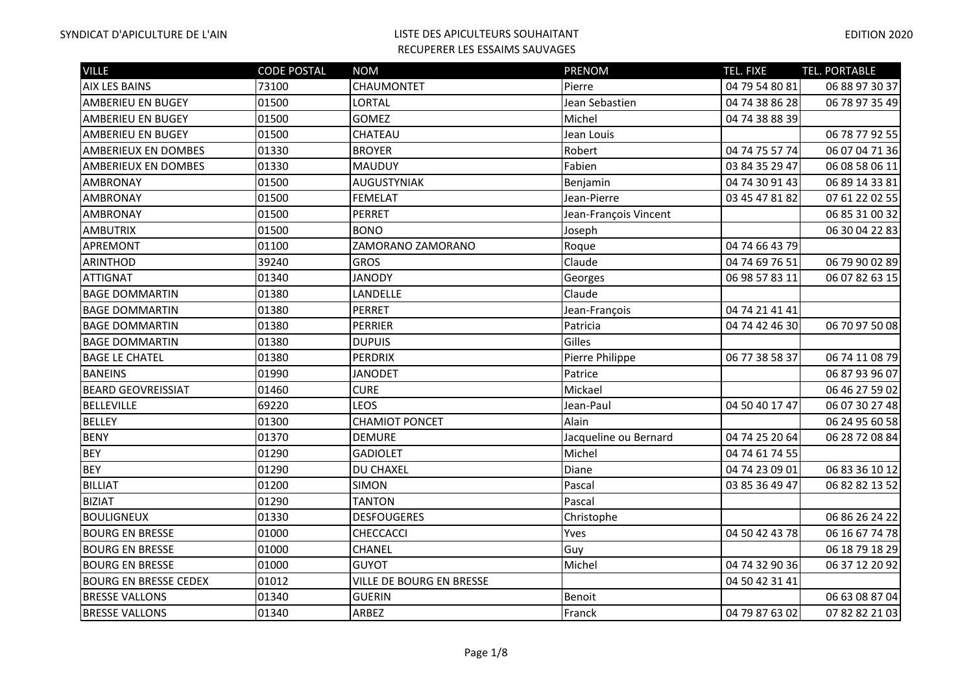| <b>VILLE</b>                 | <b>CODE POSTAL</b> | <b>NOM</b>                      | <b>PRENOM</b>         | <b>TEL. FIXE</b> | TEL. PORTABLE  |
|------------------------------|--------------------|---------------------------------|-----------------------|------------------|----------------|
| <b>AIX LES BAINS</b>         | 73100              | CHAUMONTET                      | Pierre                | 04 79 54 80 81   | 06 88 97 30 37 |
| <b>AMBERIEU EN BUGEY</b>     | 01500              | LORTAL                          | Jean Sebastien        | 04 74 38 86 28   | 06 78 97 35 49 |
| <b>AMBERIEU EN BUGEY</b>     | 01500              | <b>GOMEZ</b>                    | Michel                | 04 74 38 88 39   |                |
| <b>AMBERIEU EN BUGEY</b>     | 01500              | CHATEAU                         | Jean Louis            |                  | 06 78 77 92 55 |
| <b>AMBERIEUX EN DOMBES</b>   | 01330              | <b>BROYER</b>                   | Robert                | 04 74 75 57 74   | 06 07 04 71 36 |
| AMBERIEUX EN DOMBES          | 01330              | <b>MAUDUY</b>                   | Fabien                | 03 84 35 29 47   | 06 08 58 06 11 |
| <b>AMBRONAY</b>              | 01500              | <b>AUGUSTYNIAK</b>              | Benjamin              | 04 74 30 91 43   | 06 89 14 33 81 |
| <b>AMBRONAY</b>              | 01500              | <b>FEMELAT</b>                  | Jean-Pierre           | 03 45 47 81 82   | 07 61 22 02 55 |
| <b>AMBRONAY</b>              | 01500              | <b>PERRET</b>                   | Jean-François Vincent |                  | 06 85 31 00 32 |
| <b>AMBUTRIX</b>              | 01500              | <b>BONO</b>                     | Joseph                |                  | 06 30 04 22 83 |
| <b>APREMONT</b>              | 01100              | ZAMORANO ZAMORANO               | Roque                 | 04 74 66 43 79   |                |
| <b>ARINTHOD</b>              | 39240              | <b>GROS</b>                     | Claude                | 04 74 69 76 51   | 06 79 90 02 89 |
| <b>ATTIGNAT</b>              | 01340              | <b>JANODY</b>                   | Georges               | 06 98 57 83 11   | 06 07 82 63 15 |
| <b>BAGE DOMMARTIN</b>        | 01380              | LANDELLE                        | Claude                |                  |                |
| <b>BAGE DOMMARTIN</b>        | 01380              | <b>PERRET</b>                   | Jean-François         | 04 74 21 41 41   |                |
| <b>BAGE DOMMARTIN</b>        | 01380              | PERRIER                         | Patricia              | 04 74 42 46 30   | 06 70 97 50 08 |
| <b>BAGE DOMMARTIN</b>        | 01380              | <b>DUPUIS</b>                   | Gilles                |                  |                |
| <b>BAGE LE CHATEL</b>        | 01380              | PERDRIX                         | Pierre Philippe       | 06 77 38 58 37   | 06 74 11 08 79 |
| <b>BANEINS</b>               | 01990              | <b>JANODET</b>                  | Patrice               |                  | 06 87 93 96 07 |
| <b>BEARD GEOVREISSIAT</b>    | 01460              | <b>CURE</b>                     | Mickael               |                  | 06 46 27 59 02 |
| <b>BELLEVILLE</b>            | 69220              | <b>LEOS</b>                     | Jean-Paul             | 04 50 40 17 47   | 06 07 30 27 48 |
| <b>BELLEY</b>                | 01300              | <b>CHAMIOT PONCET</b>           | Alain                 |                  | 06 24 95 60 58 |
| <b>BENY</b>                  | 01370              | <b>DEMURE</b>                   | Jacqueline ou Bernard | 04 74 25 20 64   | 06 28 72 08 84 |
| <b>BEY</b>                   | 01290              | <b>GADIOLET</b>                 | Michel                | 04 74 61 74 55   |                |
| <b>BEY</b>                   | 01290              | <b>DU CHAXEL</b>                | Diane                 | 04 74 23 09 01   | 06 83 36 10 12 |
| <b>BILLIAT</b>               | 01200              | <b>SIMON</b>                    | Pascal                | 03 85 36 49 47   | 06 82 82 13 52 |
| <b>BIZIAT</b>                | 01290              | <b>TANTON</b>                   | Pascal                |                  |                |
| <b>BOULIGNEUX</b>            | 01330              | <b>DESFOUGERES</b>              | Christophe            |                  | 06 86 26 24 22 |
| <b>BOURG EN BRESSE</b>       | 01000              | CHECCACCI                       | Yves                  | 04 50 42 43 78   | 06 16 67 74 78 |
| <b>BOURG EN BRESSE</b>       | 01000              | CHANEL                          | Guy                   |                  | 06 18 79 18 29 |
| <b>BOURG EN BRESSE</b>       | 01000              | <b>GUYOT</b>                    | Michel                | 04 74 32 90 36   | 06 37 12 20 92 |
| <b>BOURG EN BRESSE CEDEX</b> | 01012              | <b>VILLE DE BOURG EN BRESSE</b> |                       | 04 50 42 31 41   |                |
| <b>BRESSE VALLONS</b>        | 01340              | <b>GUERIN</b>                   | Benoit                |                  | 06 63 08 87 04 |
| <b>BRESSE VALLONS</b>        | 01340              | ARBEZ                           | Franck                | 04 79 87 63 02   | 07 82 82 21 03 |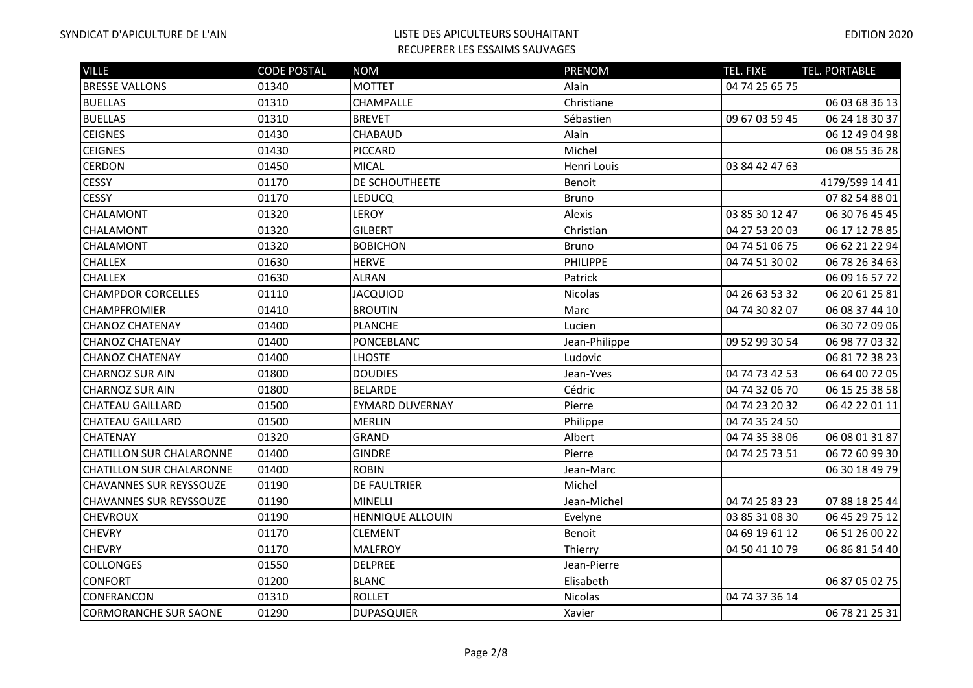| <b>VILLE</b>                    | <b>CODE POSTAL</b> | <b>NOM</b>              | <b>PRENOM</b> | TEL. FIXE      | <b>TEL. PORTABLE</b> |
|---------------------------------|--------------------|-------------------------|---------------|----------------|----------------------|
| <b>BRESSE VALLONS</b>           | 01340              | <b>MOTTET</b>           | Alain         | 04 74 25 65 75 |                      |
| <b>BUELLAS</b>                  | 01310              | <b>CHAMPALLE</b>        | Christiane    |                | 06 03 68 36 13       |
| <b>BUELLAS</b>                  | 01310              | <b>BREVET</b>           | Sébastien     | 09 67 03 59 45 | 06 24 18 30 37       |
| <b>CEIGNES</b>                  | 01430              | <b>CHABAUD</b>          | Alain         |                | 06 12 49 04 98       |
| <b>CEIGNES</b>                  | 01430              | <b>PICCARD</b>          | Michel        |                | 06 08 55 36 28       |
| <b>CERDON</b>                   | 01450              | <b>MICAL</b>            | Henri Louis   | 03 84 42 47 63 |                      |
| <b>CESSY</b>                    | 01170              | DE SCHOUTHEETE          | Benoit        |                | 4179/599 14 41       |
| <b>CESSY</b>                    | 01170              | <b>LEDUCQ</b>           | Bruno         |                | 07 82 54 88 01       |
| <b>CHALAMONT</b>                | 01320              | <b>LEROY</b>            | Alexis        | 03 85 30 12 47 | 06 30 76 45 45       |
| <b>CHALAMONT</b>                | 01320              | <b>GILBERT</b>          | Christian     | 04 27 53 20 03 | 06 17 12 78 85       |
| <b>CHALAMONT</b>                | 01320              | <b>BOBICHON</b>         | Bruno         | 04 74 51 06 75 | 06 62 21 22 94       |
| <b>CHALLEX</b>                  | 01630              | <b>HERVE</b>            | PHILIPPE      | 04 74 51 30 02 | 06 78 26 34 63       |
| <b>CHALLEX</b>                  | 01630              | <b>ALRAN</b>            | Patrick       |                | 06 09 16 57 72       |
| <b>CHAMPDOR CORCELLES</b>       | 01110              | <b>JACQUIOD</b>         | Nicolas       | 04 26 63 53 32 | 06 20 61 25 81       |
| CHAMPFROMIER                    | 01410              | <b>BROUTIN</b>          | Marc          | 04 74 30 82 07 | 06 08 37 44 10       |
| <b>CHANOZ CHATENAY</b>          | 01400              | <b>PLANCHE</b>          | Lucien        |                | 06 30 72 09 06       |
| <b>CHANOZ CHATENAY</b>          | 01400              | PONCEBLANC              | Jean-Philippe | 09 52 99 30 54 | 06 98 77 03 32       |
| <b>CHANOZ CHATENAY</b>          | 01400              | <b>LHOSTE</b>           | Ludovic       |                | 06 81 72 38 23       |
| <b>CHARNOZ SUR AIN</b>          | 01800              | <b>DOUDIES</b>          | Jean-Yves     | 04 74 73 42 53 | 06 64 00 72 05       |
| <b>CHARNOZ SUR AIN</b>          | 01800              | <b>BELARDE</b>          | Cédric        | 04 74 32 06 70 | 06 15 25 38 58       |
| <b>CHATEAU GAILLARD</b>         | 01500              | <b>EYMARD DUVERNAY</b>  | Pierre        | 04 74 23 20 32 | 06 42 22 01 11       |
| <b>CHATEAU GAILLARD</b>         | 01500              | <b>MERLIN</b>           | Philippe      | 04 74 35 24 50 |                      |
| <b>CHATENAY</b>                 | 01320              | <b>GRAND</b>            | Albert        | 04 74 35 38 06 | 06 08 01 31 87       |
| <b>CHATILLON SUR CHALARONNE</b> | 01400              | <b>GINDRE</b>           | Pierre        | 04 74 25 73 51 | 06 72 60 99 30       |
| <b>CHATILLON SUR CHALARONNE</b> | 01400              | <b>ROBIN</b>            | Jean-Marc     |                | 06 30 18 49 79       |
| <b>CHAVANNES SUR REYSSOUZE</b>  | 01190              | <b>DE FAULTRIER</b>     | Michel        |                |                      |
| <b>CHAVANNES SUR REYSSOUZE</b>  | 01190              | MINELLI                 | Jean-Michel   | 04 74 25 83 23 | 07 88 18 25 44       |
| <b>CHEVROUX</b>                 | 01190              | <b>HENNIQUE ALLOUIN</b> | Evelyne       | 03 85 31 08 30 | 06 45 29 75 12       |
| <b>CHEVRY</b>                   | 01170              | <b>CLEMENT</b>          | Benoit        | 04 69 19 61 12 | 06 51 26 00 22       |
| <b>CHEVRY</b>                   | 01170              | <b>MALFROY</b>          | Thierry       | 04 50 41 10 79 | 06 86 81 54 40       |
| <b>COLLONGES</b>                | 01550              | <b>DELPREE</b>          | Jean-Pierre   |                |                      |
| <b>CONFORT</b>                  | 01200              | <b>BLANC</b>            | Elisabeth     |                | 06 87 05 02 75       |
| <b>CONFRANCON</b>               | 01310              | <b>ROLLET</b>           | Nicolas       | 04 74 37 36 14 |                      |
| <b>CORMORANCHE SUR SAONE</b>    | 01290              | <b>DUPASQUIER</b>       | Xavier        |                | 06 78 21 25 31       |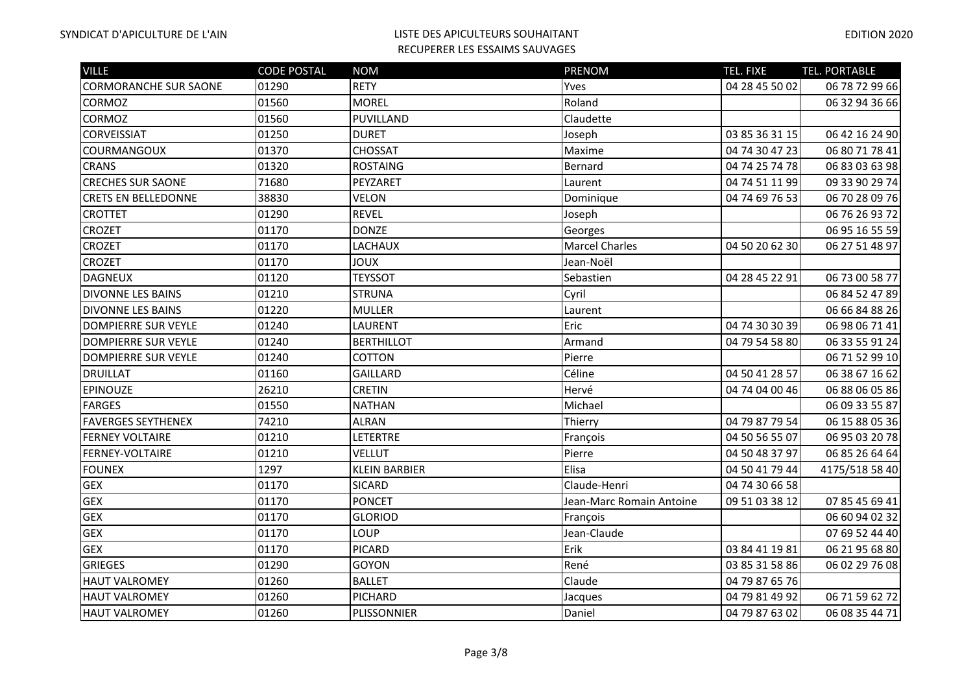| <b>VILLE</b>                 | <b>CODE POSTAL</b> | <b>NOM</b>           | PRENOM                   | <b>TEL. FIXE</b> | TEL. PORTABLE  |
|------------------------------|--------------------|----------------------|--------------------------|------------------|----------------|
| <b>CORMORANCHE SUR SAONE</b> | 01290              | <b>RETY</b>          | Yves                     | 04 28 45 50 02   | 06 78 72 99 66 |
| <b>CORMOZ</b>                | 01560              | <b>MOREL</b>         | Roland                   |                  | 06 32 94 36 66 |
| <b>CORMOZ</b>                | 01560              | PUVILLAND            | Claudette                |                  |                |
| <b>CORVEISSIAT</b>           | 01250              | <b>DURET</b>         | Joseph                   | 03 85 36 31 15   | 06 42 16 24 90 |
| <b>COURMANGOUX</b>           | 01370              | <b>CHOSSAT</b>       | Maxime                   | 04 74 30 47 23   | 06 80 71 78 41 |
| <b>CRANS</b>                 | 01320              | <b>ROSTAING</b>      | Bernard                  | 04 74 25 74 78   | 06 83 03 63 98 |
| <b>CRECHES SUR SAONE</b>     | 71680              | PEYZARET             | Laurent                  | 04 74 51 11 99   | 09 33 90 29 74 |
| <b>CRETS EN BELLEDONNE</b>   | 38830              | <b>VELON</b>         | Dominique                | 04 74 69 76 53   | 06 70 28 09 76 |
| <b>CROTTET</b>               | 01290              | <b>REVEL</b>         | Joseph                   |                  | 06 76 26 93 72 |
| <b>CROZET</b>                | 01170              | <b>DONZE</b>         | Georges                  |                  | 06 95 16 55 59 |
| <b>CROZET</b>                | 01170              | LACHAUX              | <b>Marcel Charles</b>    | 04 50 20 62 30   | 06 27 51 48 97 |
| <b>CROZET</b>                | 01170              | <b>XUOL</b>          | Jean-Noël                |                  |                |
| <b>DAGNEUX</b>               | 01120              | <b>TEYSSOT</b>       | Sebastien                | 04 28 45 22 91   | 06 73 00 58 77 |
| DIVONNE LES BAINS            | 01210              | <b>STRUNA</b>        | Cyril                    |                  | 06 84 52 47 89 |
| <b>DIVONNE LES BAINS</b>     | 01220              | <b>MULLER</b>        | Laurent                  |                  | 06 66 84 88 26 |
| <b>DOMPIERRE SUR VEYLE</b>   | 01240              | LAURENT              | Eric                     | 04 74 30 30 39   | 06 98 06 71 41 |
| <b>DOMPIERRE SUR VEYLE</b>   | 01240              | <b>BERTHILLOT</b>    | Armand                   | 04 79 54 58 80   | 06 33 55 91 24 |
| <b>DOMPIERRE SUR VEYLE</b>   | 01240              | COTTON               | Pierre                   |                  | 06 71 52 99 10 |
| <b>DRUILLAT</b>              | 01160              | <b>GAILLARD</b>      | Céline                   | 04 50 41 28 57   | 06 38 67 16 62 |
| <b>EPINOUZE</b>              | 26210              | <b>CRETIN</b>        | Hervé                    | 04 74 04 00 46   | 06 88 06 05 86 |
| <b>FARGES</b>                | 01550              | <b>NATHAN</b>        | Michael                  |                  | 06 09 33 55 87 |
| <b>FAVERGES SEYTHENEX</b>    | 74210              | <b>ALRAN</b>         | Thierry                  | 04 79 87 79 54   | 06 15 88 05 36 |
| <b>FERNEY VOLTAIRE</b>       | 01210              | LETERTRE             | François                 | 04 50 56 55 07   | 06 95 03 20 78 |
| FERNEY-VOLTAIRE              | 01210              | <b>VELLUT</b>        | Pierre                   | 04 50 48 37 97   | 06 85 26 64 64 |
| <b>FOUNEX</b>                | 1297               | <b>KLEIN BARBIER</b> | Elisa                    | 04 50 41 79 44   | 4175/518 58 40 |
| <b>GEX</b>                   | 01170              | <b>SICARD</b>        | Claude-Henri             | 04 74 30 66 58   |                |
| <b>GEX</b>                   | 01170              | <b>PONCET</b>        | Jean-Marc Romain Antoine | 09 51 03 38 12   | 07 85 45 69 41 |
| <b>GEX</b>                   | 01170              | <b>GLORIOD</b>       | François                 |                  | 06 60 94 02 32 |
| <b>GEX</b>                   | 01170              | LOUP                 | Jean-Claude              |                  | 07 69 52 44 40 |
| <b>GEX</b>                   | 01170              | <b>PICARD</b>        | Erik                     | 03 84 41 19 81   | 06 21 95 68 80 |
| <b>GRIEGES</b>               | 01290              | GOYON                | René                     | 03 85 31 58 86   | 06 02 29 76 08 |
| <b>HAUT VALROMEY</b>         | 01260              | <b>BALLET</b>        | Claude                   | 04 79 87 65 76   |                |
| <b>HAUT VALROMEY</b>         | 01260              | PICHARD              | Jacques                  | 04 79 81 49 92   | 06 71 59 62 72 |
| <b>HAUT VALROMEY</b>         | 01260              | PLISSONNIER          | Daniel                   | 04 79 87 63 02   | 06 08 35 44 71 |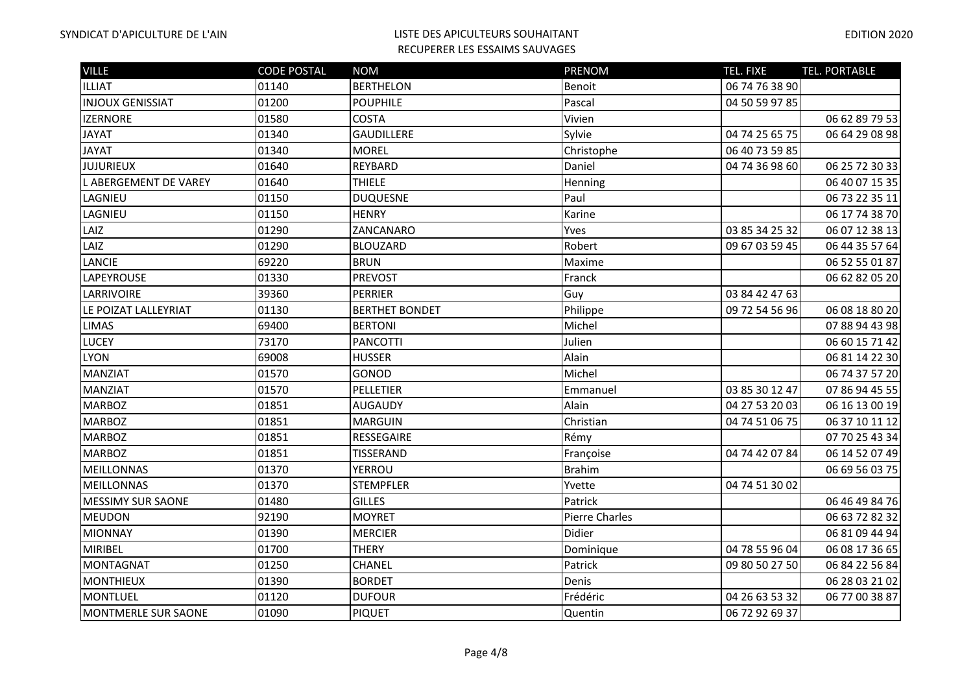| <b>VILLE</b>             | <b>CODE POSTAL</b> | <b>NOM</b>            | PRENOM                | TEL. FIXE      | <b>TEL. PORTABLE</b> |
|--------------------------|--------------------|-----------------------|-----------------------|----------------|----------------------|
| ILLIAT                   | 01140              | <b>BERTHELON</b>      | Benoit                | 06 74 76 38 90 |                      |
| <b>INJOUX GENISSIAT</b>  | 01200              | <b>POUPHILE</b>       | Pascal                | 04 50 59 97 85 |                      |
| <b>IZERNORE</b>          | 01580              | <b>COSTA</b>          | Vivien                |                | 06 62 89 79 53       |
| <b>JAYAT</b>             | 01340              | <b>GAUDILLERE</b>     | Sylvie                | 04 74 25 65 75 | 06 64 29 08 98       |
| <b>JAYAT</b>             | 01340              | <b>MOREL</b>          | Christophe            | 06 40 73 59 85 |                      |
| <b>JUJURIEUX</b>         | 01640              | REYBARD               | Daniel                | 04 74 36 98 60 | 06 25 72 30 33       |
| L ABERGEMENT DE VAREY    | 01640              | <b>THIELE</b>         | Henning               |                | 06 40 07 15 35       |
| LAGNIEU                  | 01150              | <b>DUQUESNE</b>       | Paul                  |                | 06 73 22 35 11       |
| LAGNIEU                  | 01150              | <b>HENRY</b>          | Karine                |                | 06 17 74 38 70       |
| LAIZ                     | 01290              | ZANCANARO             | Yves                  | 03 85 34 25 32 | 06 07 12 38 13       |
| LAIZ                     | 01290              | <b>BLOUZARD</b>       | Robert                | 09 67 03 59 45 | 06 44 35 57 64       |
| <b>LANCIE</b>            | 69220              | <b>BRUN</b>           | Maxime                |                | 06 52 55 01 87       |
| <b>LAPEYROUSE</b>        | 01330              | <b>PREVOST</b>        | Franck                |                | 06 62 82 05 20       |
| <b>LARRIVOIRE</b>        | 39360              | <b>PERRIER</b>        | Guy                   | 03 84 42 47 63 |                      |
| LE POIZAT LALLEYRIAT     | 01130              | <b>BERTHET BONDET</b> | Philippe              | 09 72 54 56 96 | 06 08 18 80 20       |
| <b>LIMAS</b>             | 69400              | <b>BERTONI</b>        | Michel                |                | 07 88 94 43 98       |
| <b>LUCEY</b>             | 73170              | <b>PANCOTTI</b>       | Julien                |                | 06 60 15 71 42       |
| <b>LYON</b>              | 69008              | <b>HUSSER</b>         | Alain                 |                | 06 81 14 22 30       |
| <b>MANZIAT</b>           | 01570              | <b>GONOD</b>          | Michel                |                | 06 74 37 57 20       |
| <b>MANZIAT</b>           | 01570              | PELLETIER             | Emmanuel              | 03 85 30 12 47 | 07 86 94 45 55       |
| <b>MARBOZ</b>            | 01851              | <b>AUGAUDY</b>        | Alain                 | 04 27 53 20 03 | 06 16 13 00 19       |
| <b>MARBOZ</b>            | 01851              | <b>MARGUIN</b>        | Christian             | 04 74 51 06 75 | 06 37 10 11 12       |
| <b>MARBOZ</b>            | 01851              | RESSEGAIRE            | Rémy                  |                | 07 70 25 43 34       |
| <b>MARBOZ</b>            | 01851              | TISSERAND             | Françoise             | 04 74 42 07 84 | 06 14 52 07 49       |
| <b>MEILLONNAS</b>        | 01370              | <b>YERROU</b>         | <b>Brahim</b>         |                | 06 69 56 03 75       |
| MEILLONNAS               | 01370              | <b>STEMPFLER</b>      | Yvette                | 04 74 51 30 02 |                      |
| <b>MESSIMY SUR SAONE</b> | 01480              | <b>GILLES</b>         | Patrick               |                | 06 46 49 84 76       |
| <b>MEUDON</b>            | 92190              | <b>MOYRET</b>         | <b>Pierre Charles</b> |                | 06 63 72 82 32       |
| <b>MIONNAY</b>           | 01390              | <b>MERCIER</b>        | Didier                |                | 06 81 09 44 94       |
| <b>MIRIBEL</b>           | 01700              | <b>THERY</b>          | Dominique             | 04 78 55 96 04 | 06 08 17 36 65       |
| <b>MONTAGNAT</b>         | 01250              | CHANEL                | Patrick               | 09 80 50 27 50 | 06 84 22 56 84       |
| <b>MONTHIEUX</b>         | 01390              | <b>BORDET</b>         | Denis                 |                | 06 28 03 21 02       |
| <b>MONTLUEL</b>          | 01120              | <b>DUFOUR</b>         | Frédéric              | 04 26 63 53 32 | 06 77 00 38 87       |
| MONTMERLE SUR SAONE      | 01090              | <b>PIQUET</b>         | Quentin               | 06 72 92 69 37 |                      |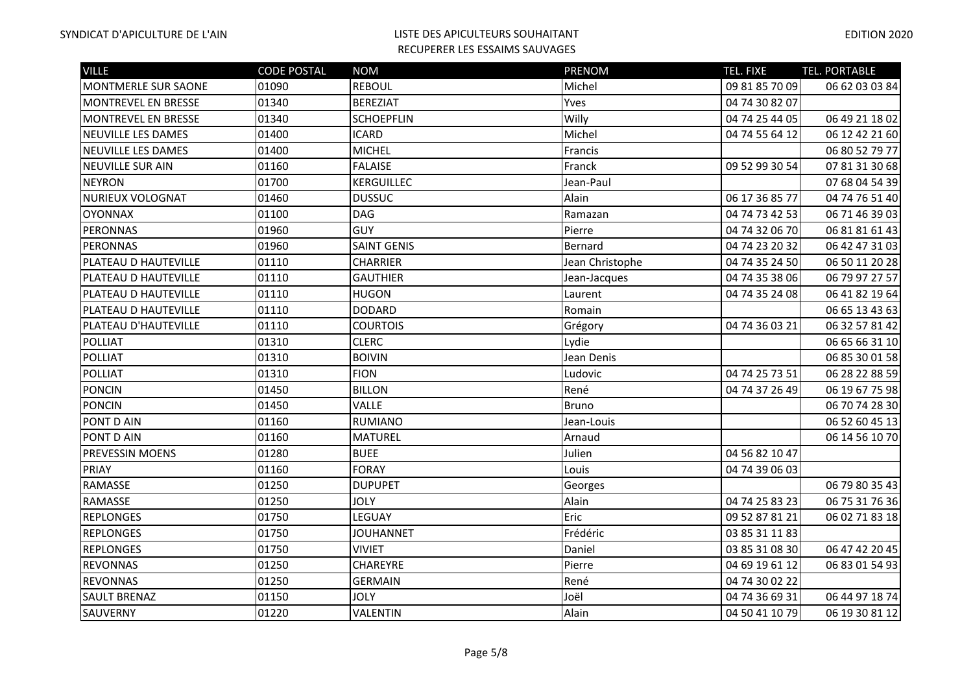| <b>VILLE</b>               | <b>CODE POSTAL</b> | <b>NOM</b>         | <b>PRENOM</b>   | TEL. FIXE      | TEL. PORTABLE  |
|----------------------------|--------------------|--------------------|-----------------|----------------|----------------|
| MONTMERLE SUR SAONE        | 01090              | <b>REBOUL</b>      | Michel          | 09 81 85 70 09 | 06 62 03 03 84 |
| <b>MONTREVEL EN BRESSE</b> | 01340              | <b>BEREZIAT</b>    | Yves            | 04 74 30 82 07 |                |
| <b>MONTREVEL EN BRESSE</b> | 01340              | <b>SCHOEPFLIN</b>  | Willy           | 04 74 25 44 05 | 06 49 21 18 02 |
| <b>NEUVILLE LES DAMES</b>  | 01400              | <b>ICARD</b>       | Michel          | 04 74 55 64 12 | 06 12 42 21 60 |
| <b>NEUVILLE LES DAMES</b>  | 01400              | <b>MICHEL</b>      | Francis         |                | 06 80 52 79 77 |
| NEUVILLE SUR AIN           | 01160              | <b>FALAISE</b>     | Franck          | 09 52 99 30 54 | 07 81 31 30 68 |
| <b>NEYRON</b>              | 01700              | KERGUILLEC         | Jean-Paul       |                | 07 68 04 54 39 |
| <b>NURIEUX VOLOGNAT</b>    | 01460              | <b>DUSSUC</b>      | Alain           | 06 17 36 85 77 | 04 74 76 51 40 |
| <b>OYONNAX</b>             | 01100              | <b>DAG</b>         | Ramazan         | 04 74 73 42 53 | 06 71 46 39 03 |
| <b>PERONNAS</b>            | 01960              | <b>GUY</b>         | Pierre          | 04 74 32 06 70 | 06 81 81 61 43 |
| <b>PERONNAS</b>            | 01960              | <b>SAINT GENIS</b> | Bernard         | 04 74 23 20 32 | 06 42 47 31 03 |
| PLATEAU D HAUTEVILLE       | 01110              | <b>CHARRIER</b>    | Jean Christophe | 04 74 35 24 50 | 06 50 11 20 28 |
| PLATEAU D HAUTEVILLE       | 01110              | <b>GAUTHIER</b>    | Jean-Jacques    | 04 74 35 38 06 | 06 79 97 27 57 |
| PLATEAU D HAUTEVILLE       | 01110              | <b>HUGON</b>       | Laurent         | 04 74 35 24 08 | 06 41 82 19 64 |
| PLATEAU D HAUTEVILLE       | 01110              | <b>DODARD</b>      | Romain          |                | 06 65 13 43 63 |
| PLATEAU D'HAUTEVILLE       | 01110              | <b>COURTOIS</b>    | Grégory         | 04 74 36 03 21 | 06 32 57 81 42 |
| <b>POLLIAT</b>             | 01310              | <b>CLERC</b>       | Lydie           |                | 06 65 66 31 10 |
| <b>POLLIAT</b>             | 01310              | <b>BOIVIN</b>      | Jean Denis      |                | 06 85 30 01 58 |
| <b>POLLIAT</b>             | 01310              | <b>FION</b>        | Ludovic         | 04 74 25 73 51 | 06 28 22 88 59 |
| <b>PONCIN</b>              | 01450              | <b>BILLON</b>      | René            | 04 74 37 26 49 | 06 19 67 75 98 |
| <b>PONCIN</b>              | 01450              | VALLE              | <b>Bruno</b>    |                | 06 70 74 28 30 |
| PONT D AIN                 | 01160              | <b>RUMIANO</b>     | Jean-Louis      |                | 06 52 60 45 13 |
| PONT D AIN                 | 01160              | <b>MATUREL</b>     | Arnaud          |                | 06 14 56 10 70 |
| PREVESSIN MOENS            | 01280              | <b>BUEE</b>        | Julien          | 04 56 82 10 47 |                |
| PRIAY                      | 01160              | <b>FORAY</b>       | Louis           | 04 74 39 06 03 |                |
| RAMASSE                    | 01250              | <b>DUPUPET</b>     | Georges         |                | 06 79 80 35 43 |
| RAMASSE                    | 01250              | <b>JOLY</b>        | Alain           | 04 74 25 83 23 | 06 75 31 76 36 |
| <b>REPLONGES</b>           | 01750              | LEGUAY             | Eric            | 09 52 87 81 21 | 06 02 71 83 18 |
| <b>REPLONGES</b>           | 01750              | <b>JOUHANNET</b>   | Frédéric        | 03 85 31 11 83 |                |
| <b>REPLONGES</b>           | 01750              | <b>VIVIET</b>      | Daniel          | 03 85 31 08 30 | 06 47 42 20 45 |
| <b>REVONNAS</b>            | 01250              | CHAREYRE           | Pierre          | 04 69 19 61 12 | 06 83 01 54 93 |
| <b>REVONNAS</b>            | 01250              | <b>GERMAIN</b>     | René            | 04 74 30 02 22 |                |
| <b>SAULT BRENAZ</b>        | 01150              | <b>JOLY</b>        | Joël            | 04 74 36 69 31 | 06 44 97 18 74 |
| SAUVERNY                   | 01220              | VALENTIN           | Alain           | 04 50 41 10 79 | 06 19 30 81 12 |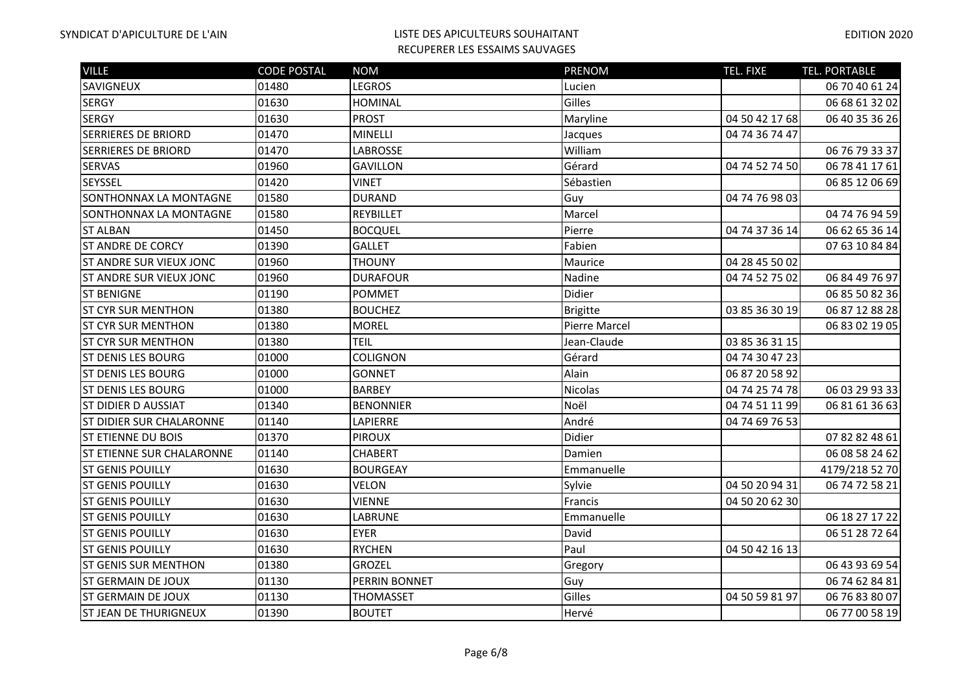| <b>VILLE</b>                     | <b>CODE POSTAL</b> | <b>NOM</b>       | <b>PRENOM</b>   | TEL. FIXE      | <b>TEL. PORTABLE</b> |
|----------------------------------|--------------------|------------------|-----------------|----------------|----------------------|
| <b>SAVIGNEUX</b>                 | 01480              | LEGROS           | Lucien          |                | 06 70 40 61 24       |
| <b>SERGY</b>                     | 01630              | HOMINAL          | Gilles          |                | 06 68 61 32 02       |
| <b>SERGY</b>                     | 01630              | <b>PROST</b>     | Maryline        | 04 50 42 17 68 | 06 40 35 36 26       |
| <b>SERRIERES DE BRIORD</b>       | 01470              | MINELLI          | Jacques         | 04 74 36 74 47 |                      |
| <b>SERRIERES DE BRIORD</b>       | 01470              | <b>LABROSSE</b>  | William         |                | 06 76 79 33 37       |
| <b>SERVAS</b>                    | 01960              | <b>GAVILLON</b>  | Gérard          | 04 74 52 74 50 | 06 78 41 17 61       |
| SEYSSEL                          | 01420              | <b>VINET</b>     | Sébastien       |                | 06 85 12 06 69       |
| SONTHONNAX LA MONTAGNE           | 01580              | <b>DURAND</b>    | Guy             | 04 74 76 98 03 |                      |
| SONTHONNAX LA MONTAGNE           | 01580              | REYBILLET        | Marcel          |                | 04 74 76 94 59       |
| <b>ST ALBAN</b>                  | 01450              | <b>BOCQUEL</b>   | Pierre          | 04 74 37 36 14 | 06 62 65 36 14       |
| <b>ST ANDRE DE CORCY</b>         | 01390              | <b>GALLET</b>    | Fabien          |                | 07 63 10 84 84       |
| <b>ST ANDRE SUR VIEUX JONC</b>   | 01960              | <b>THOUNY</b>    | Maurice         | 04 28 45 50 02 |                      |
| <b>ST ANDRE SUR VIEUX JONC</b>   | 01960              | <b>DURAFOUR</b>  | Nadine          | 04 74 52 75 02 | 06 84 49 76 97       |
| <b>ST BENIGNE</b>                | 01190              | <b>POMMET</b>    | Didier          |                | 06 85 50 82 36       |
| <b>ST CYR SUR MENTHON</b>        | 01380              | <b>BOUCHEZ</b>   | <b>Brigitte</b> | 03 85 36 30 19 | 06 87 12 88 28       |
| <b>ST CYR SUR MENTHON</b>        | 01380              | <b>MOREL</b>     | Pierre Marcel   |                | 06 83 02 19 05       |
| <b>ST CYR SUR MENTHON</b>        | 01380              | <b>TEIL</b>      | Jean-Claude     | 03 85 36 31 15 |                      |
| <b>ST DENIS LES BOURG</b>        | 01000              | <b>COLIGNON</b>  | Gérard          | 04 74 30 47 23 |                      |
| IST DENIS LES BOURG              | 01000              | <b>GONNET</b>    | Alain           | 06 87 20 58 92 |                      |
| <b>ST DENIS LES BOURG</b>        | 01000              | <b>BARBEY</b>    | <b>Nicolas</b>  | 04 74 25 74 78 | 06 03 29 93 33       |
| IST DIDIER D AUSSIAT             | 01340              | <b>BENONNIER</b> | Noël            | 04 74 51 11 99 | 06 81 61 36 63       |
| <b>ST DIDIER SUR CHALARONNE</b>  | 01140              | <b>LAPIERRE</b>  | André           | 04 74 69 76 53 |                      |
| <b>ST ETIENNE DU BOIS</b>        | 01370              | <b>PIROUX</b>    | Didier          |                | 07 82 82 48 61       |
| <b>ST ETIENNE SUR CHALARONNE</b> | 01140              | <b>CHABERT</b>   | Damien          |                | 06 08 58 24 62       |
| <b>ST GENIS POUILLY</b>          | 01630              | <b>BOURGEAY</b>  | Emmanuelle      |                | 4179/218 52 70       |
| <b>ST GENIS POUILLY</b>          | 01630              | <b>VELON</b>     | Sylvie          | 04 50 20 94 31 | 06 74 72 58 21       |
| <b>ST GENIS POUILLY</b>          | 01630              | <b>VIENNE</b>    | Francis         | 04 50 20 62 30 |                      |
| <b>ST GENIS POUILLY</b>          | 01630              | <b>LABRUNE</b>   | Emmanuelle      |                | 06 18 27 17 22       |
| <b>ST GENIS POUILLY</b>          | 01630              | <b>EYER</b>      | David           |                | 06 51 28 72 64       |
| <b>ST GENIS POUILLY</b>          | 01630              | <b>RYCHEN</b>    | Paul            | 04 50 42 16 13 |                      |
| <b>ST GENIS SUR MENTHON</b>      | 01380              | <b>GROZEL</b>    | Gregory         |                | 06 43 93 69 54       |
| <b>ST GERMAIN DE JOUX</b>        | 01130              | PERRIN BONNET    | Guy             |                | 06 74 62 84 81       |
| IST GERMAIN DE JOUX              | 01130              | THOMASSET        | Gilles          | 04 50 59 81 97 | 06 76 83 80 07       |
| <b>ST JEAN DE THURIGNEUX</b>     | 01390              | <b>BOUTET</b>    | Hervé           |                | 06 77 00 58 19       |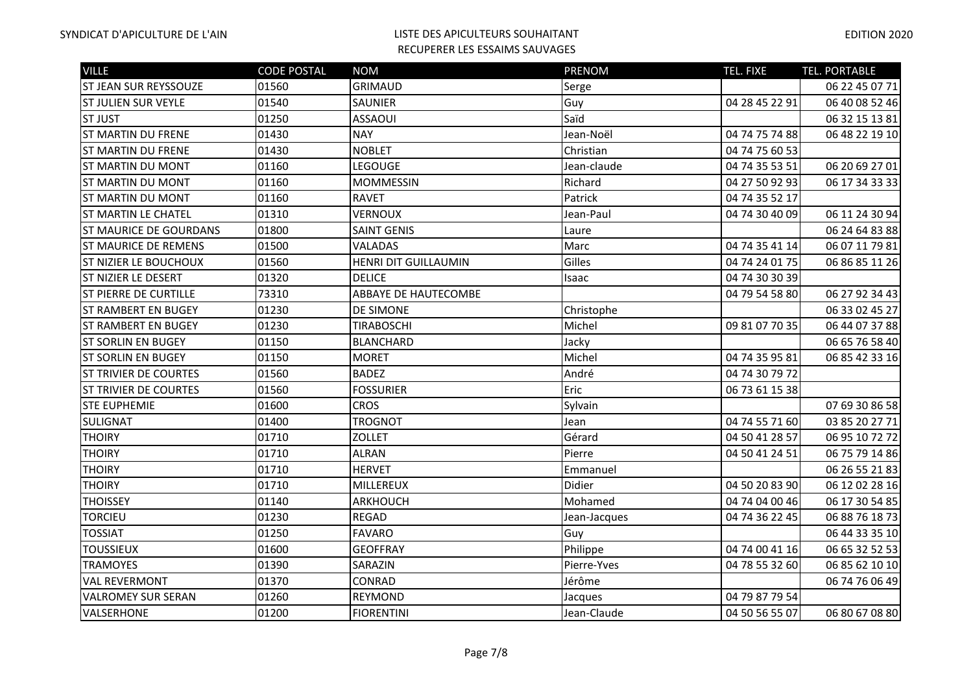| <b>VILLE</b>                  | <b>CODE POSTAL</b> | <b>NOM</b>                  | <b>PRENOM</b> | TEL. FIXE      | TEL. PORTABLE  |
|-------------------------------|--------------------|-----------------------------|---------------|----------------|----------------|
| ST JEAN SUR REYSSOUZE         | 01560              | <b>GRIMAUD</b>              | Serge         |                | 06 22 45 07 71 |
| <b>ST JULIEN SUR VEYLE</b>    | 01540              | <b>SAUNIER</b>              | Guy           | 04 28 45 22 91 | 06 40 08 52 46 |
| <b>ST JUST</b>                | 01250              | <b>ASSAOUI</b>              | Saïd          |                | 06 32 15 13 81 |
| <b>ST MARTIN DU FRENE</b>     | 01430              | <b>NAY</b>                  | Jean-Noël     | 04 74 75 74 88 | 06 48 22 19 10 |
| <b>ST MARTIN DU FRENE</b>     | 01430              | <b>NOBLET</b>               | Christian     | 04 74 75 60 53 |                |
| <b>ST MARTIN DU MONT</b>      | 01160              | LEGOUGE                     | Jean-claude   | 04 74 35 53 51 | 06 20 69 27 01 |
| <b>ST MARTIN DU MONT</b>      | 01160              | <b>MOMMESSIN</b>            | Richard       | 04 27 50 92 93 | 06 17 34 33 33 |
| <b>ST MARTIN DU MONT</b>      | 01160              | <b>RAVET</b>                | Patrick       | 04 74 35 52 17 |                |
| <b>ST MARTIN LE CHATEL</b>    | 01310              | <b>VERNOUX</b>              | Jean-Paul     | 04 74 30 40 09 | 06 11 24 30 94 |
| <b>ST MAURICE DE GOURDANS</b> | 01800              | <b>SAINT GENIS</b>          | Laure         |                | 06 24 64 83 88 |
| <b>ST MAURICE DE REMENS</b>   | 01500              | <b>VALADAS</b>              | Marc          | 04 74 35 41 14 | 06 07 11 79 81 |
| <b>ST NIZIER LE BOUCHOUX</b>  | 01560              | HENRI DIT GUILLAUMIN        | Gilles        | 04 74 24 01 75 | 06 86 85 11 26 |
| ST NIZIER LE DESERT           | 01320              | <b>DELICE</b>               | Isaac         | 04 74 30 30 39 |                |
| <b>ST PIERRE DE CURTILLE</b>  | 73310              | <b>ABBAYE DE HAUTECOMBE</b> |               | 04 79 54 58 80 | 06 27 92 34 43 |
| <b>ST RAMBERT EN BUGEY</b>    | 01230              | <b>DE SIMONE</b>            | Christophe    |                | 06 33 02 45 27 |
| <b>ST RAMBERT EN BUGEY</b>    | 01230              | <b>TIRABOSCHI</b>           | Michel        | 09 81 07 70 35 | 06 44 07 37 88 |
| <b>ST SORLIN EN BUGEY</b>     | 01150              | <b>BLANCHARD</b>            | Jacky         |                | 06 65 76 58 40 |
| <b>ST SORLIN EN BUGEY</b>     | 01150              | <b>MORET</b>                | Michel        | 04 74 35 95 81 | 06 85 42 33 16 |
| <b>ST TRIVIER DE COURTES</b>  | 01560              | <b>BADEZ</b>                | André         | 04 74 30 79 72 |                |
| <b>ST TRIVIER DE COURTES</b>  | 01560              | <b>FOSSURIER</b>            | Eric          | 06 73 61 15 38 |                |
| <b>STE EUPHEMIE</b>           | 01600              | <b>CROS</b>                 | Sylvain       |                | 07 69 30 86 58 |
| <b>SULIGNAT</b>               | 01400              | <b>TROGNOT</b>              | Jean          | 04 74 55 71 60 | 03 85 20 27 71 |
| <b>THOIRY</b>                 | 01710              | <b>ZOLLET</b>               | Gérard        | 04 50 41 28 57 | 06 95 10 72 72 |
| <b>THOIRY</b>                 | 01710              | <b>ALRAN</b>                | Pierre        | 04 50 41 24 51 | 06 75 79 14 86 |
| <b>THOIRY</b>                 | 01710              | <b>HERVET</b>               | Emmanuel      |                | 06 26 55 21 83 |
| <b>THOIRY</b>                 | 01710              | MILLEREUX                   | Didier        | 04 50 20 83 90 | 06 12 02 28 16 |
| <b>THOISSEY</b>               | 01140              | ARKHOUCH                    | Mohamed       | 04 74 04 00 46 | 06 17 30 54 85 |
| <b>TORCIEU</b>                | 01230              | <b>REGAD</b>                | Jean-Jacques  | 04 74 36 22 45 | 06 88 76 18 73 |
| <b>TOSSIAT</b>                | 01250              | <b>FAVARO</b>               | Guy           |                | 06 44 33 35 10 |
| <b>TOUSSIEUX</b>              | 01600              | <b>GEOFFRAY</b>             | Philippe      | 04 74 00 41 16 | 06 65 32 52 53 |
| <b>TRAMOYES</b>               | 01390              | SARAZIN                     | Pierre-Yves   | 04 78 55 32 60 | 06 85 62 10 10 |
| <b>VAL REVERMONT</b>          | 01370              | <b>CONRAD</b>               | Jérôme        |                | 06 74 76 06 49 |
| <b>VALROMEY SUR SERAN</b>     | 01260              | <b>REYMOND</b>              | Jacques       | 04 79 87 79 54 |                |
| VALSERHONE                    | 01200              | <b>FIORENTINI</b>           | Jean-Claude   | 04 50 56 55 07 | 06 80 67 08 80 |